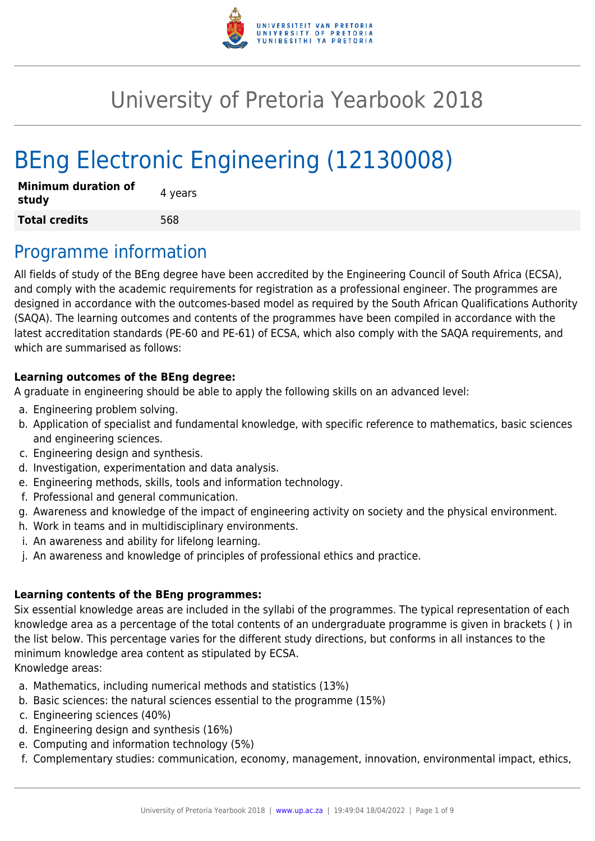

# University of Pretoria Yearbook 2018

# BEng Electronic Engineering (12130008)

| <b>Minimum duration of</b><br>study | 4 years |
|-------------------------------------|---------|
| <b>Total credits</b>                | 568     |

# Programme information

All fields of study of the BEng degree have been accredited by the Engineering Council of South Africa (ECSA), and comply with the academic requirements for registration as a professional engineer. The programmes are designed in accordance with the outcomes-based model as required by the South African Qualifications Authority (SAQA). The learning outcomes and contents of the programmes have been compiled in accordance with the latest accreditation standards (PE-60 and PE-61) of ECSA, which also comply with the SAQA requirements, and which are summarised as follows:

#### **Learning outcomes of the BEng degree:**

A graduate in engineering should be able to apply the following skills on an advanced level:

- a. Engineering problem solving.
- b. Application of specialist and fundamental knowledge, with specific reference to mathematics, basic sciences and engineering sciences.
- c. Engineering design and synthesis.
- d. Investigation, experimentation and data analysis.
- e. Engineering methods, skills, tools and information technology.
- f. Professional and general communication.
- g. Awareness and knowledge of the impact of engineering activity on society and the physical environment.
- h. Work in teams and in multidisciplinary environments.
- i. An awareness and ability for lifelong learning.
- j. An awareness and knowledge of principles of professional ethics and practice.

#### **Learning contents of the BEng programmes:**

Six essential knowledge areas are included in the syllabi of the programmes. The typical representation of each knowledge area as a percentage of the total contents of an undergraduate programme is given in brackets ( ) in the list below. This percentage varies for the different study directions, but conforms in all instances to the minimum knowledge area content as stipulated by ECSA. Knowledge areas:

- a. Mathematics, including numerical methods and statistics (13%)
- b. Basic sciences: the natural sciences essential to the programme (15%)
- c. Engineering sciences (40%)
- d. Engineering design and synthesis (16%)
- e. Computing and information technology (5%)
- f. Complementary studies: communication, economy, management, innovation, environmental impact, ethics,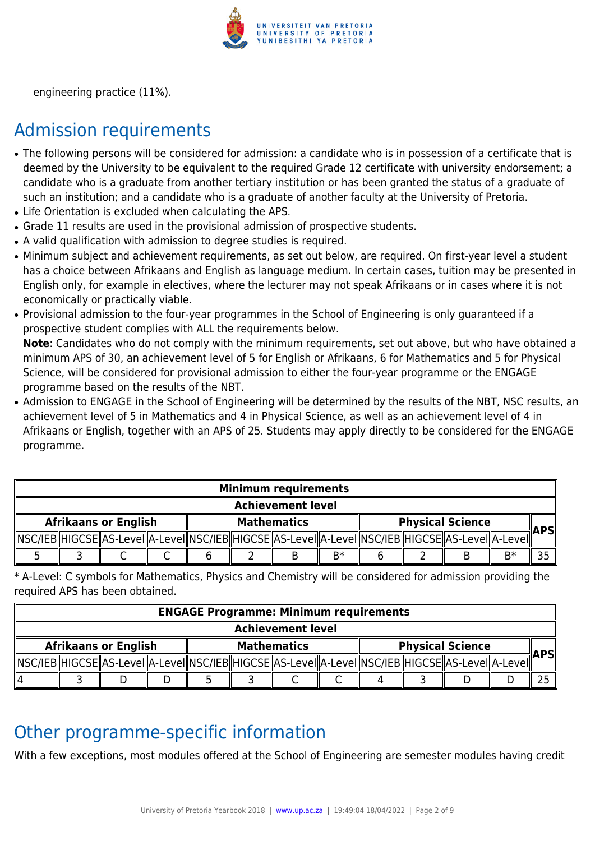

engineering practice (11%).

# Admission requirements

- The following persons will be considered for admission: a candidate who is in possession of a certificate that is deemed by the University to be equivalent to the required Grade 12 certificate with university endorsement; a candidate who is a graduate from another tertiary institution or has been granted the status of a graduate of such an institution; and a candidate who is a graduate of another faculty at the University of Pretoria.
- Life Orientation is excluded when calculating the APS.
- Grade 11 results are used in the provisional admission of prospective students.
- A valid qualification with admission to degree studies is required.
- Minimum subject and achievement requirements, as set out below, are required. On first-year level a student has a choice between Afrikaans and English as language medium. In certain cases, tuition may be presented in English only, for example in electives, where the lecturer may not speak Afrikaans or in cases where it is not economically or practically viable.
- Provisional admission to the four-year programmes in the School of Engineering is only guaranteed if a prospective student complies with ALL the requirements below.

**Note**: Candidates who do not comply with the minimum requirements, set out above, but who have obtained a minimum APS of 30, an achievement level of 5 for English or Afrikaans, 6 for Mathematics and 5 for Physical Science, will be considered for provisional admission to either the four-year programme or the ENGAGE programme based on the results of the NBT.

• Admission to ENGAGE in the School of Engineering will be determined by the results of the NBT, NSC results, an achievement level of 5 in Mathematics and 4 in Physical Science, as well as an achievement level of 4 in Afrikaans or English, together with an APS of 25. Students may apply directly to be considered for the ENGAGE programme.

| <b>Minimum requirements</b> |  |  |  |                    |  |  |      |                         |  |                                                                                                            |    |      |
|-----------------------------|--|--|--|--------------------|--|--|------|-------------------------|--|------------------------------------------------------------------------------------------------------------|----|------|
| <b>Achievement level</b>    |  |  |  |                    |  |  |      |                         |  |                                                                                                            |    |      |
| <b>Afrikaans or English</b> |  |  |  | <b>Mathematics</b> |  |  |      | <b>Physical Science</b> |  |                                                                                                            |    | APSI |
|                             |  |  |  |                    |  |  |      |                         |  | NSC/IEB  HIGCSE  AS-Level  A-Level  NSC/IEB  HIGCSE  AS-Level  A-Level  NSC/IEB  HIGCSE  AS-Level  A-Level |    |      |
|                             |  |  |  |                    |  |  | $B*$ |                         |  |                                                                                                            | B* |      |

\* A-Level: C symbols for Mathematics, Physics and Chemistry will be considered for admission providing the required APS has been obtained.

| <b>ENGAGE Programme: Minimum requirements</b> |  |  |  |                    |  |  |  |                         |  |                                                                                                             |  |       |
|-----------------------------------------------|--|--|--|--------------------|--|--|--|-------------------------|--|-------------------------------------------------------------------------------------------------------------|--|-------|
| <b>Achievement level</b>                      |  |  |  |                    |  |  |  |                         |  |                                                                                                             |  |       |
| <b>Afrikaans or English</b>                   |  |  |  | <b>Mathematics</b> |  |  |  | <b>Physical Science</b> |  |                                                                                                             |  | ∥APS∥ |
|                                               |  |  |  |                    |  |  |  |                         |  | _MSC/IEB  HIGCSE  AS-Level  A-Level  NSC/IEB  HIGCSE  AS-Level  A-Level  NSC/IEB  HIGCSE  AS-Level  A-Level |  |       |
| 114                                           |  |  |  |                    |  |  |  |                         |  |                                                                                                             |  |       |

### Other programme-specific information

With a few exceptions, most modules offered at the School of Engineering are semester modules having credit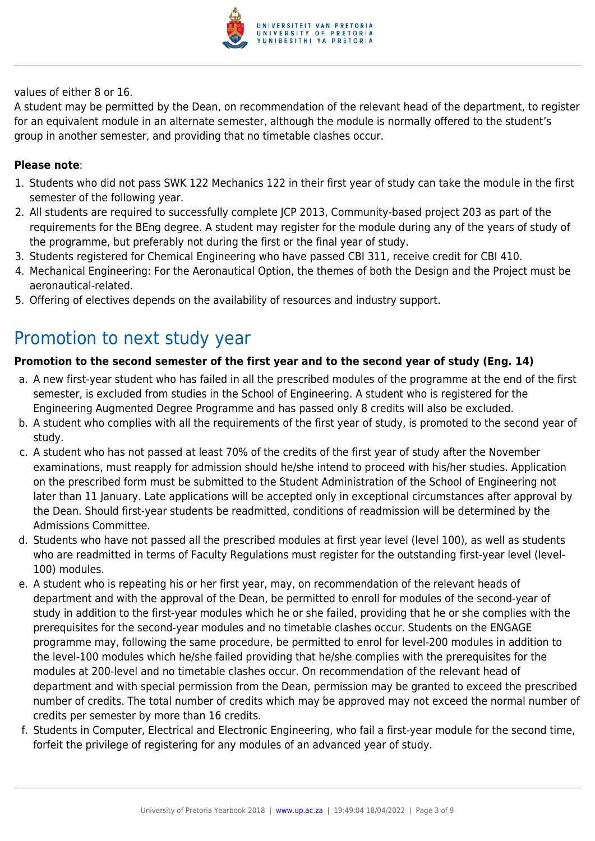

values of either 8 or 16.

A student may be permitted by the Dean, on recommendation of the relevant head of the department, to register for an equivalent module in an alternate semester, although the module is normally offered to the student's group in another semester, and providing that no timetable clashes occur.

#### **Please note**:

- 1. Students who did not pass SWK 122 Mechanics 122 in their first year of study can take the module in the first semester of the following year.
- 2. All students are required to successfully complete JCP 2013, Community-based project 203 as part of the requirements for the BEng degree. A student may register for the module during any of the years of study of the programme, but preferably not during the first or the final year of study.
- 3. Students registered for Chemical Engineering who have passed CBI 311, receive credit for CBI 410.
- 4. Mechanical Engineering: For the Aeronautical Option, the themes of both the Design and the Project must be aeronautical-related.
- 5. Offering of electives depends on the availability of resources and industry support.

### Promotion to next study year

#### **Promotion to the second semester of the first year and to the second year of study (Eng. 14)**

- a. A new first-year student who has failed in all the prescribed modules of the programme at the end of the first semester, is excluded from studies in the School of Engineering. A student who is registered for the Engineering Augmented Degree Programme and has passed only 8 credits will also be excluded.
- b. A student who complies with all the requirements of the first year of study, is promoted to the second year of study.
- c. A student who has not passed at least 70% of the credits of the first year of study after the November examinations, must reapply for admission should he/she intend to proceed with his/her studies. Application on the prescribed form must be submitted to the Student Administration of the School of Engineering not later than 11 January. Late applications will be accepted only in exceptional circumstances after approval by the Dean. Should first-year students be readmitted, conditions of readmission will be determined by the Admissions Committee.
- d. Students who have not passed all the prescribed modules at first year level (level 100), as well as students who are readmitted in terms of Faculty Regulations must register for the outstanding first-year level (level-100) modules.
- e. A student who is repeating his or her first year, may, on recommendation of the relevant heads of department and with the approval of the Dean, be permitted to enroll for modules of the second-year of study in addition to the first-year modules which he or she failed, providing that he or she complies with the prerequisites for the second-year modules and no timetable clashes occur. Students on the ENGAGE programme may, following the same procedure, be permitted to enrol for level-200 modules in addition to the level-100 modules which he/she failed providing that he/she complies with the prerequisites for the modules at 200-level and no timetable clashes occur. On recommendation of the relevant head of department and with special permission from the Dean, permission may be granted to exceed the prescribed number of credits. The total number of credits which may be approved may not exceed the normal number of credits per semester by more than 16 credits.
- f. Students in Computer, Electrical and Electronic Engineering, who fail a first-year module for the second time, forfeit the privilege of registering for any modules of an advanced year of study.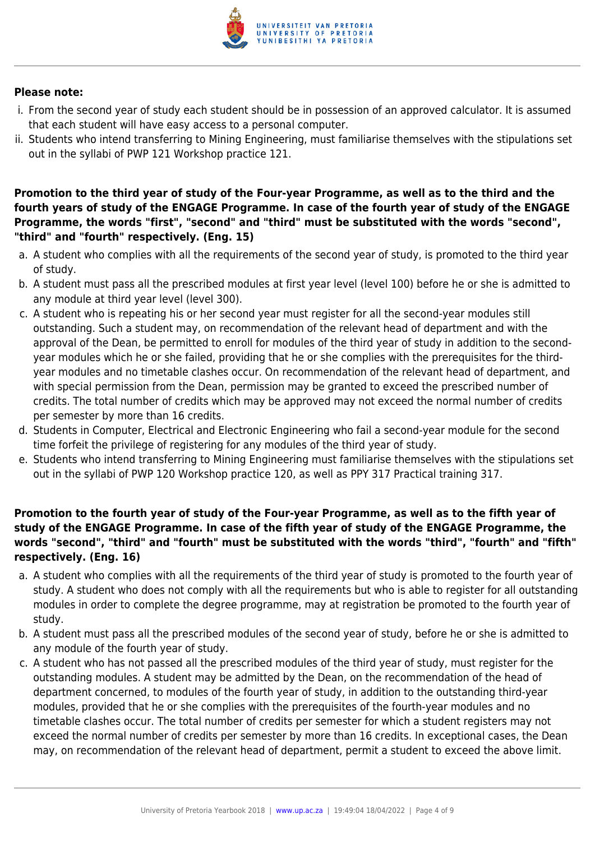

#### **Please note:**

- i. From the second year of study each student should be in possession of an approved calculator. It is assumed that each student will have easy access to a personal computer.
- ii. Students who intend transferring to Mining Engineering, must familiarise themselves with the stipulations set out in the syllabi of PWP 121 Workshop practice 121.

#### **Promotion to the third year of study of the Four-year Programme, as well as to the third and the fourth years of study of the ENGAGE Programme. In case of the fourth year of study of the ENGAGE Programme, the words "first", "second" and "third" must be substituted with the words "second", "third" and "fourth" respectively. (Eng. 15)**

- a. A student who complies with all the requirements of the second year of study, is promoted to the third year of study.
- b. A student must pass all the prescribed modules at first year level (level 100) before he or she is admitted to any module at third year level (level 300).
- c. A student who is repeating his or her second year must register for all the second-year modules still outstanding. Such a student may, on recommendation of the relevant head of department and with the approval of the Dean, be permitted to enroll for modules of the third year of study in addition to the secondyear modules which he or she failed, providing that he or she complies with the prerequisites for the thirdyear modules and no timetable clashes occur. On recommendation of the relevant head of department, and with special permission from the Dean, permission may be granted to exceed the prescribed number of credits. The total number of credits which may be approved may not exceed the normal number of credits per semester by more than 16 credits.
- d. Students in Computer, Electrical and Electronic Engineering who fail a second-year module for the second time forfeit the privilege of registering for any modules of the third year of study.
- e. Students who intend transferring to Mining Engineering must familiarise themselves with the stipulations set out in the syllabi of PWP 120 Workshop practice 120, as well as PPY 317 Practical training 317.

### **Promotion to the fourth year of study of the Four-year Programme, as well as to the fifth year of study of the ENGAGE Programme. In case of the fifth year of study of the ENGAGE Programme, the words "second", "third" and "fourth" must be substituted with the words "third", "fourth" and "fifth" respectively. (Eng. 16)**

- a. A student who complies with all the requirements of the third year of study is promoted to the fourth year of study. A student who does not comply with all the requirements but who is able to register for all outstanding modules in order to complete the degree programme, may at registration be promoted to the fourth year of study.
- b. A student must pass all the prescribed modules of the second year of study, before he or she is admitted to any module of the fourth year of study.
- c. A student who has not passed all the prescribed modules of the third year of study, must register for the outstanding modules. A student may be admitted by the Dean, on the recommendation of the head of department concerned, to modules of the fourth year of study, in addition to the outstanding third-year modules, provided that he or she complies with the prerequisites of the fourth-year modules and no timetable clashes occur. The total number of credits per semester for which a student registers may not exceed the normal number of credits per semester by more than 16 credits. In exceptional cases, the Dean may, on recommendation of the relevant head of department, permit a student to exceed the above limit.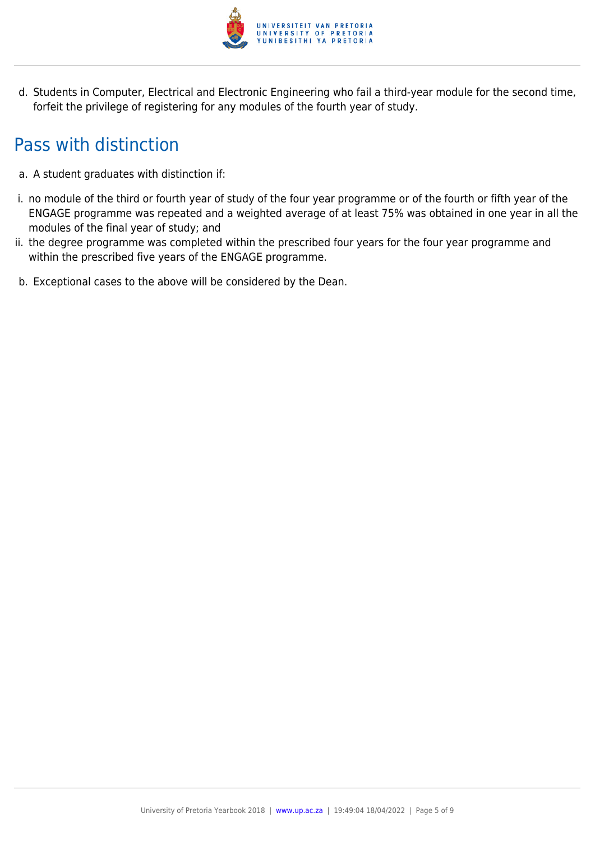

d. Students in Computer, Electrical and Electronic Engineering who fail a third-year module for the second time, forfeit the privilege of registering for any modules of the fourth year of study.

# Pass with distinction

- a. A student graduates with distinction if:
- i. no module of the third or fourth year of study of the four year programme or of the fourth or fifth year of the ENGAGE programme was repeated and a weighted average of at least 75% was obtained in one year in all the modules of the final year of study; and
- ii. the degree programme was completed within the prescribed four years for the four year programme and within the prescribed five years of the ENGAGE programme.
- b. Exceptional cases to the above will be considered by the Dean.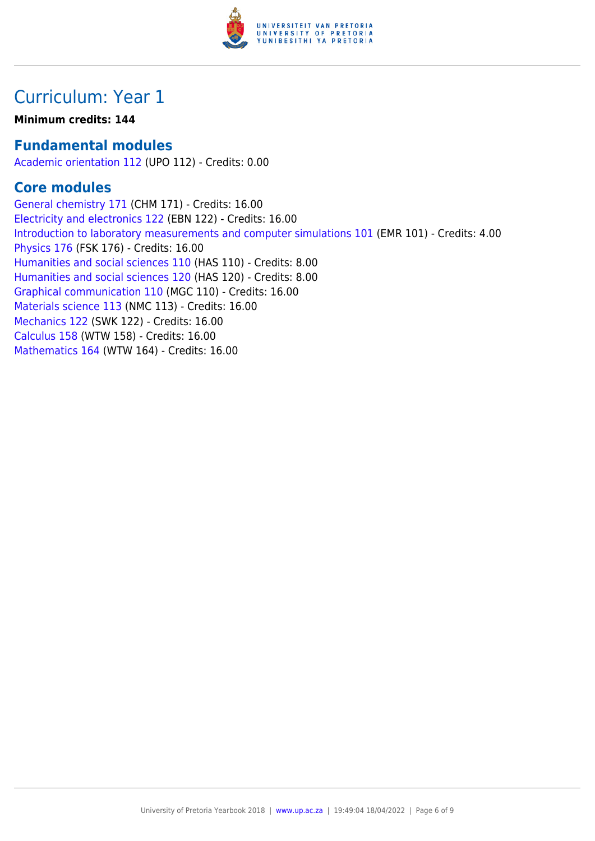

# Curriculum: Year 1

### **Minimum credits: 144**

### **Fundamental modules**

[Academic orientation 112](https://www.up.ac.za/mechanical-and-aeronautical-engineering/yearbooks/2018/modules/view/UPO 112) (UPO 112) - Credits: 0.00

### **Core modules**

[General chemistry 171](https://www.up.ac.za/mechanical-and-aeronautical-engineering/yearbooks/2018/modules/view/CHM 171) (CHM 171) - Credits: 16.00 [Electricity and electronics 122](https://www.up.ac.za/mechanical-and-aeronautical-engineering/yearbooks/2018/modules/view/EBN 122) (EBN 122) - Credits: 16.00 [Introduction to laboratory measurements and computer simulations 101](https://www.up.ac.za/mechanical-and-aeronautical-engineering/yearbooks/2018/modules/view/EMR 101) (EMR 101) - Credits: 4.00 [Physics 176](https://www.up.ac.za/mechanical-and-aeronautical-engineering/yearbooks/2018/modules/view/FSK 176) (FSK 176) - Credits: 16.00 [Humanities and social sciences 110](https://www.up.ac.za/mechanical-and-aeronautical-engineering/yearbooks/2018/modules/view/HAS 110) (HAS 110) - Credits: 8.00 [Humanities and social sciences 120](https://www.up.ac.za/mechanical-and-aeronautical-engineering/yearbooks/2018/modules/view/HAS 120) (HAS 120) - Credits: 8.00 [Graphical communication 110](https://www.up.ac.za/mechanical-and-aeronautical-engineering/yearbooks/2018/modules/view/MGC 110) (MGC 110) - Credits: 16.00 [Materials science 113](https://www.up.ac.za/mechanical-and-aeronautical-engineering/yearbooks/2018/modules/view/NMC 113) (NMC 113) - Credits: 16.00 [Mechanics 122](https://www.up.ac.za/mechanical-and-aeronautical-engineering/yearbooks/2018/modules/view/SWK 122) (SWK 122) - Credits: 16.00 [Calculus 158](https://www.up.ac.za/mechanical-and-aeronautical-engineering/yearbooks/2018/modules/view/WTW 158) (WTW 158) - Credits: 16.00 [Mathematics 164](https://www.up.ac.za/mechanical-and-aeronautical-engineering/yearbooks/2018/modules/view/WTW 164) (WTW 164) - Credits: 16.00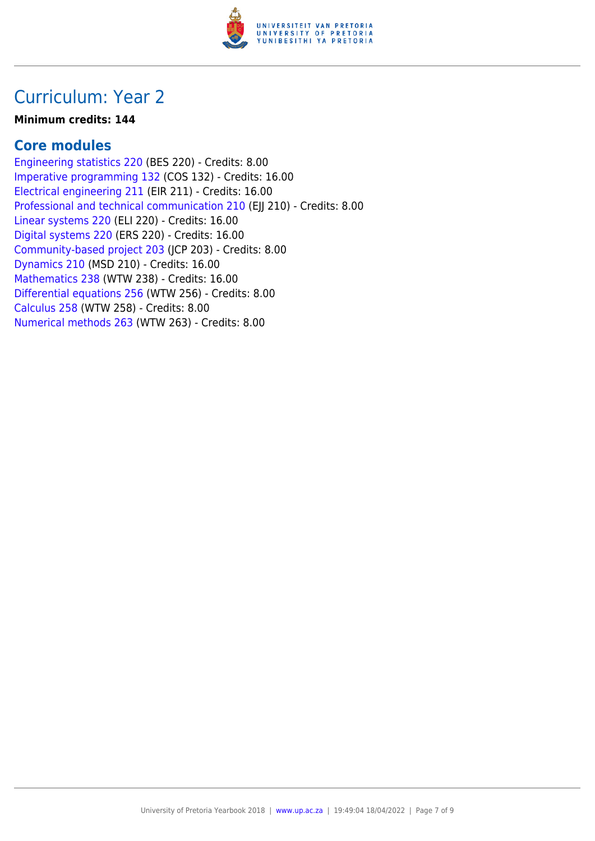

## Curriculum: Year 2

### **Minimum credits: 144**

### **Core modules**

[Engineering statistics 220](https://www.up.ac.za/mechanical-and-aeronautical-engineering/yearbooks/2018/modules/view/BES 220) (BES 220) - Credits: 8.00 [Imperative programming 132](https://www.up.ac.za/mechanical-and-aeronautical-engineering/yearbooks/2018/modules/view/COS 132) (COS 132) - Credits: 16.00 [Electrical engineering 211](https://www.up.ac.za/mechanical-and-aeronautical-engineering/yearbooks/2018/modules/view/EIR 211) (EIR 211) - Credits: 16.00 [Professional and technical communication 210](https://www.up.ac.za/mechanical-and-aeronautical-engineering/yearbooks/2018/modules/view/EJJ 210) (EJJ 210) - Credits: 8.00 [Linear systems 220](https://www.up.ac.za/mechanical-and-aeronautical-engineering/yearbooks/2018/modules/view/ELI 220) (ELI 220) - Credits: 16.00 [Digital systems 220](https://www.up.ac.za/mechanical-and-aeronautical-engineering/yearbooks/2018/modules/view/ERS 220) (ERS 220) - Credits: 16.00 [Community-based project 203](https://www.up.ac.za/mechanical-and-aeronautical-engineering/yearbooks/2018/modules/view/JCP 203) (JCP 203) - Credits: 8.00 [Dynamics 210](https://www.up.ac.za/mechanical-and-aeronautical-engineering/yearbooks/2018/modules/view/MSD 210) (MSD 210) - Credits: 16.00 [Mathematics 238](https://www.up.ac.za/mechanical-and-aeronautical-engineering/yearbooks/2018/modules/view/WTW 238) (WTW 238) - Credits: 16.00 [Differential equations 256](https://www.up.ac.za/mechanical-and-aeronautical-engineering/yearbooks/2018/modules/view/WTW 256) (WTW 256) - Credits: 8.00 [Calculus 258](https://www.up.ac.za/mechanical-and-aeronautical-engineering/yearbooks/2018/modules/view/WTW 258) (WTW 258) - Credits: 8.00 [Numerical methods 263](https://www.up.ac.za/mechanical-and-aeronautical-engineering/yearbooks/2018/modules/view/WTW 263) (WTW 263) - Credits: 8.00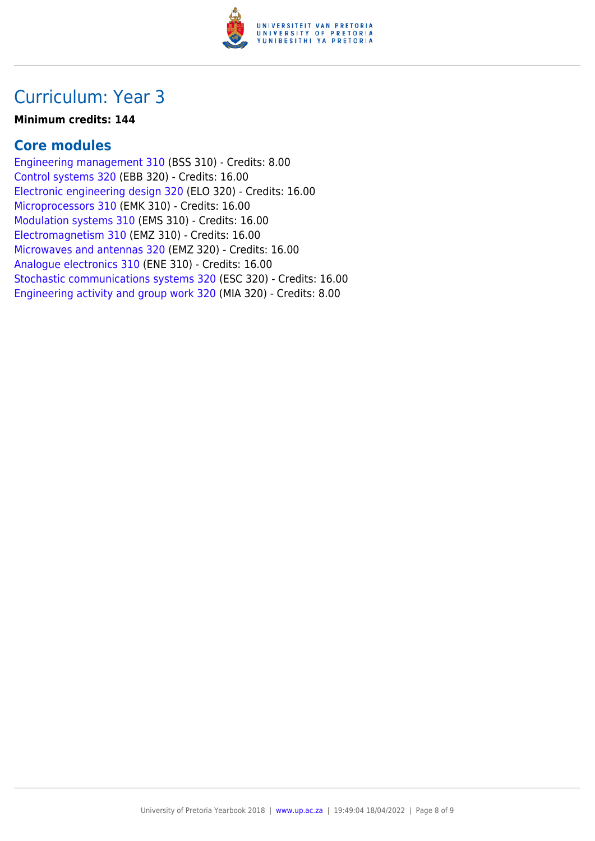

# Curriculum: Year 3

### **Minimum credits: 144**

### **Core modules**

[Engineering management 310](https://www.up.ac.za/mechanical-and-aeronautical-engineering/yearbooks/2018/modules/view/BSS 310) (BSS 310) - Credits: 8.00 [Control systems 320](https://www.up.ac.za/mechanical-and-aeronautical-engineering/yearbooks/2018/modules/view/EBB 320) (EBB 320) - Credits: 16.00 [Electronic engineering design 320](https://www.up.ac.za/mechanical-and-aeronautical-engineering/yearbooks/2018/modules/view/ELO 320) (ELO 320) - Credits: 16.00 [Microprocessors 310](https://www.up.ac.za/mechanical-and-aeronautical-engineering/yearbooks/2018/modules/view/EMK 310) (EMK 310) - Credits: 16.00 [Modulation systems 310](https://www.up.ac.za/mechanical-and-aeronautical-engineering/yearbooks/2018/modules/view/EMS 310) (EMS 310) - Credits: 16.00 [Electromagnetism 310](https://www.up.ac.za/mechanical-and-aeronautical-engineering/yearbooks/2018/modules/view/EMZ 310) (EMZ 310) - Credits: 16.00 [Microwaves and antennas 320](https://www.up.ac.za/mechanical-and-aeronautical-engineering/yearbooks/2018/modules/view/EMZ 320) (EMZ 320) - Credits: 16.00 [Analogue electronics 310](https://www.up.ac.za/mechanical-and-aeronautical-engineering/yearbooks/2018/modules/view/ENE 310) (ENE 310) - Credits: 16.00 [Stochastic communications systems 320](https://www.up.ac.za/mechanical-and-aeronautical-engineering/yearbooks/2018/modules/view/ESC 320) (ESC 320) - Credits: 16.00 [Engineering activity and group work 320](https://www.up.ac.za/mechanical-and-aeronautical-engineering/yearbooks/2018/modules/view/MIA 320) (MIA 320) - Credits: 8.00